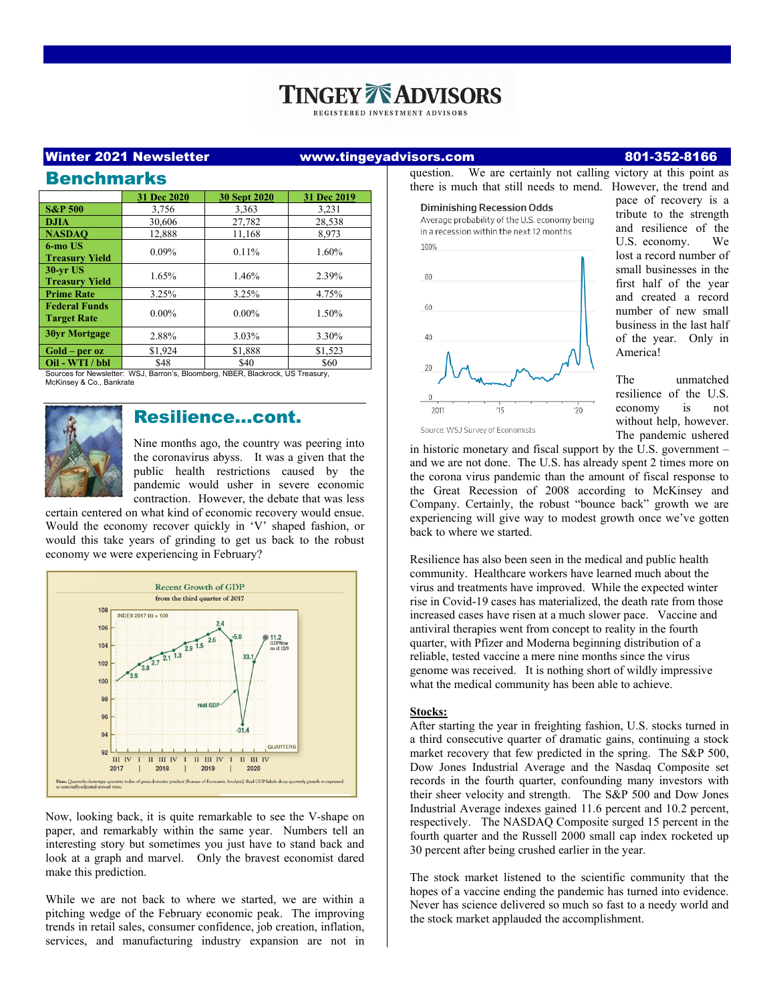# **TINGEY ADVISORS**

REGISTERED INVESTMENT ADVISORS

### Winter 2021 Newsletter www.tingeyadvisors.com 801-352-8166

| <b>Benchmarks</b>                          |             |                                                                                 |             |
|--------------------------------------------|-------------|---------------------------------------------------------------------------------|-------------|
|                                            | 31 Dec 2020 | <b>30 Sept 2020</b>                                                             | 31 Dec 2019 |
| <b>S&amp;P 500</b>                         | 3,756       | 3,363                                                                           | 3,231       |
| <b>DJIA</b>                                | 30,606      | 27,782                                                                          | 28,538      |
| <b>NASDAO</b>                              | 12,888      | 11,168                                                                          | 8,973       |
| 6-mo US<br><b>Treasury Yield</b>           | 0.09%       | 0.11%                                                                           | 1.60%       |
| <b>30-vr US</b><br><b>Treasury Yield</b>   | 1.65%       | 1.46%                                                                           | 2.39%       |
| <b>Prime Rate</b>                          | 3.25%       | 3.25%                                                                           | 4.75%       |
| <b>Federal Funds</b><br><b>Target Rate</b> | $0.00\%$    | $0.00\%$                                                                        | 1.50%       |
| <b>30yr Mortgage</b>                       | 2.88%       | 3.03%                                                                           | 3.30%       |
| $Gold-per oz$                              | \$1,924     | \$1.888                                                                         | \$1,523     |
| Oil - WTI / bbl                            | \$48        | \$40                                                                            | \$60        |
|                                            |             | Sources for Newsletter: WSJ, Barron's, Bloomberg, NBER, Blackrock, US Treasury, |             |

McKinsey & Co., Bankrate



## Resilience…cont.

Nine months ago, the country was peering into the coronavirus abyss. It was a given that the public health restrictions caused by the pandemic would usher in severe economic contraction. However, the debate that was less

certain centered on what kind of economic recovery would ensue. Would the economy recover quickly in 'V' shaped fashion, or would this take years of grinding to get us back to the robust economy we were experiencing in February?



Now, looking back, it is quite remarkable to see the V-shape on paper, and remarkably within the same year. Numbers tell an interesting story but sometimes you just have to stand back and look at a graph and marvel. Only the bravest economist dared make this prediction.

While we are not back to where we started, we are within a pitching wedge of the February economic peak. The improving trends in retail sales, consumer confidence, job creation, inflation, services, and manufacturing industry expansion are not in question. We are certainly not calling victory at this point as there is much that still needs to mend. However, the trend and

#### **Diminishing Recession Odds**

Average probability of the U.S. economy being in a recession within the next 12 months



pace of recovery is a tribute to the strength and resilience of the U.S. economy. We lost a record number of small businesses in the first half of the year and created a record number of new small business in the last half of the year. Only in America!

The unmatched resilience of the U.S. economy is not without help, however. The pandemic ushered

Source: WSJ Survey of Economists

in historic monetary and fiscal support by the U.S. government – and we are not done. The U.S. has already spent 2 times more on the corona virus pandemic than the amount of fiscal response to the Great Recession of 2008 according to McKinsey and Company. Certainly, the robust "bounce back" growth we are experiencing will give way to modest growth once we've gotten back to where we started.

Resilience has also been seen in the medical and public health community. Healthcare workers have learned much about the virus and treatments have improved. While the expected winter rise in Covid-19 cases has materialized, the death rate from those increased cases have risen at a much slower pace. Vaccine and antiviral therapies went from concept to reality in the fourth quarter, with Pfizer and Moderna beginning distribution of a reliable, tested vaccine a mere nine months since the virus genome was received. It is nothing short of wildly impressive what the medical community has been able to achieve.

#### **Stocks:**

After starting the year in freighting fashion, U.S. stocks turned in a third consecutive quarter of dramatic gains, continuing a stock market recovery that few predicted in the spring. The S&P 500, Dow Jones Industrial Average and the Nasdaq Composite set records in the fourth quarter, confounding many investors with their sheer velocity and strength. The S&P 500 and Dow Jones Industrial Average indexes gained 11.6 percent and 10.2 percent, respectively. The NASDAQ Composite surged 15 percent in the fourth quarter and the Russell 2000 small cap index rocketed up 30 percent after being crushed earlier in the year.

The stock market listened to the scientific community that the hopes of a vaccine ending the pandemic has turned into evidence. Never has science delivered so much so fast to a needy world and the stock market applauded the accomplishment.